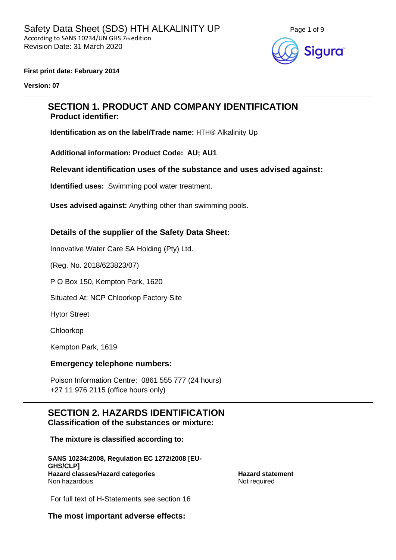

#### **First print date: February 2014**

**Version: 07**

## **SECTION 1. PRODUCT AND COMPANY IDENTIFICATION Product identifier:**

**Identification as on the label/Trade name:** HTH® Alkalinity Up

**Additional information: Product Code: AU; AU1**

**Relevant identification uses of the substance and uses advised against:**

**Identified uses:** Swimming pool water treatment.

**Uses advised against:** Anything other than swimming pools.

#### **Details of the supplier of the Safety Data Sheet:**

Innovative Water Care SA Holding (Pty) Ltd.

(Reg. No. 2018/623823/07)

P O Box 150, Kempton Park, 1620

Situated At: NCP Chloorkop Factory Site

Hytor Street

Chloorkop

Kempton Park, 1619

#### **Emergency telephone numbers:**

Poison Information Centre: 0861 555 777 (24 hours) +27 11 976 2115 (office hours only)

#### **SECTION 2. HAZARDS IDENTIFICATION Classification of the substances or mixture:**

**The mixture is classified according to:** 

**SANS 10234:2008, Regulation EC 1272/2008 [EU-GHS/CLP] Hazard classes/Hazard categories Hazard statement** Non hazardous Not required

For full text of H-Statements see section 16

**The most important adverse effects:**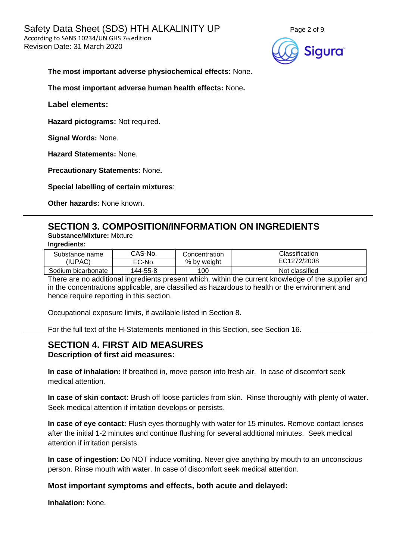

#### **The most important adverse physiochemical effects:** None.

**The most important adverse human health effects:** None**.**

**Label elements:**

**Hazard pictograms:** Not required.

**Signal Words:** None.

**Hazard Statements:** None.

**Precautionary Statements:** None**.**

**Special labelling of certain mixtures**:

**Other hazards:** None known.

# **SECTION 3. COMPOSITION/INFORMATION ON INGREDIENTS**

**Substance/Mixture:** Mixture

**Ingredients:**

| Substance name     | CAS-No.  | Concentration | Classification |
|--------------------|----------|---------------|----------------|
| (IUPAC)            | EC-No.   | % by weight   | EC1272/2008    |
| Sodium bicarbonate | 144-55-8 | 100           | Not classified |

There are no additional ingredients present which, within the current knowledge of the supplier and in the concentrations applicable, are classified as hazardous to health or the environment and hence require reporting in this section.

Occupational exposure limits, if available listed in Section 8.

For the full text of the H-Statements mentioned in this Section, see Section 16.

## **SECTION 4. FIRST AID MEASURES Description of first aid measures:**

**In case of inhalation:** If breathed in, move person into fresh air. In case of discomfort seek medical attention.

**In case of skin contact:** Brush off loose particles from skin. Rinse thoroughly with plenty of water. Seek medical attention if irritation develops or persists.

**In case of eye contact:** Flush eyes thoroughly with water for 15 minutes. Remove contact lenses after the initial 1-2 minutes and continue flushing for several additional minutes. Seek medical attention if irritation persists.

**In case of ingestion:** Do NOT induce vomiting. Never give anything by mouth to an unconscious person. Rinse mouth with water. In case of discomfort seek medical attention.

#### **Most important symptoms and effects, both acute and delayed:**

**Inhalation:** None.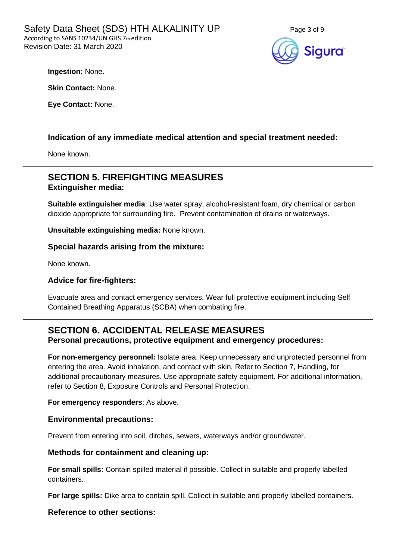

**Ingestion:** None.

**Skin Contact:** None.

**Eye Contact:** None.

### **Indication of any immediate medical attention and special treatment needed:**

None known.

# **SECTION 5. FIREFIGHTING MEASURES Extinguisher media:**

**Suitable extinguisher media**: Use water spray, alcohol-resistant foam, dry chemical or carbon dioxide appropriate for surrounding fire. Prevent contamination of drains or waterways.

**Unsuitable extinguishing media:** None known.

**Special hazards arising from the mixture:**

None known.

#### **Advice for fire-fighters:**

Evacuate area and contact emergency services. Wear full protective equipment including Self Contained Breathing Apparatus (SCBA) when combating fire.

## **SECTION 6. ACCIDENTAL RELEASE MEASURES Personal precautions, protective equipment and emergency procedures:**

**For non-emergency personnel:** Isolate area. Keep unnecessary and unprotected personnel from entering the area. Avoid inhalation, and contact with skin. Refer to Section 7, Handling, for additional precautionary measures. Use appropriate safety equipment. For additional information, refer to Section 8, Exposure Controls and Personal Protection.

**For emergency responders**: As above.

#### **Environmental precautions:**

Prevent from entering into soil, ditches, sewers, waterways and/or groundwater.

#### **Methods for containment and cleaning up:**

**For small spills:** Contain spilled material if possible. Collect in suitable and properly labelled containers.

**For large spills:** Dike area to contain spill. Collect in suitable and properly labelled containers.

#### **Reference to other sections:**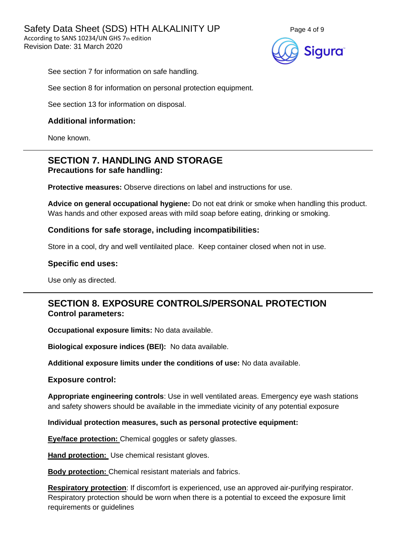

See section 7 for information on safe handling.

See section 8 for information on personal protection equipment.

See section 13 for information on disposal.

#### **Additional information:**

None known.

# **SECTION 7. HANDLING AND STORAGE Precautions for safe handling:**

**Protective measures:** Observe directions on label and instructions for use.

**Advice on general occupational hygiene:** Do not eat drink or smoke when handling this product. Was hands and other exposed areas with mild soap before eating, drinking or smoking.

#### **Conditions for safe storage, including incompatibilities:**

Store in a cool, dry and well ventilaited place. Keep container closed when not in use.

#### **Specific end uses:**

Use only as directed.

# **SECTION 8. EXPOSURE CONTROLS/PERSONAL PROTECTION Control parameters:**

**Occupational exposure limits:** No data available.

**Biological exposure indices (BEI):** No data available.

**Additional exposure limits under the conditions of use:** No data available.

#### **Exposure control:**

**Appropriate engineering controls**: Use in well ventilated areas. Emergency eye wash stations and safety showers should be available in the immediate vicinity of any potential exposure

**Individual protection measures, such as personal protective equipment:**

**Eye/face protection:** Chemical goggles or safety glasses.

**Hand protection:** Use chemical resistant gloves.

**Body protection:** Chemical resistant materials and fabrics.

**Respiratory protection**: If discomfort is experienced, use an approved air-purifying respirator. Respiratory protection should be worn when there is a potential to exceed the exposure limit requirements or quidelines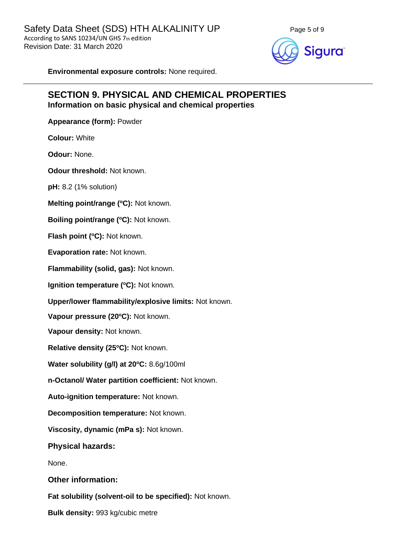



**Environmental exposure controls:** None required.

# **SECTION 9. PHYSICAL AND CHEMICAL PROPERTIES Information on basic physical and chemical properties**

**Appearance (form):** Powder

**Colour:** White

**Odour:** None.

**Odour threshold:** Not known.

**pH:** 8.2 (1% solution)

**Melting point/range (<sup>o</sup>C):** Not known.

**Boiling point/range (<sup>o</sup>C):** Not known.

**Flash point (<sup>o</sup>C):** Not known.

**Evaporation rate:** Not known.

**Flammability (solid, gas):** Not known.

**Ignition temperature (°C):** Not known.

**Upper/lower flammability/explosive limits:** Not known.

**Vapour pressure (20<sup>o</sup>C):** Not known.

**Vapour density:** Not known.

**Relative density (25 <sup>o</sup>C):** Not known.

**Water solubility (g/l) at 20<sup>o</sup>C:** 8.6g/100ml

**n-Octanol/ Water partition coefficient:** Not known.

**Auto-ignition temperature:** Not known.

**Decomposition temperature:** Not known.

**Viscosity, dynamic (mPa s):** Not known.

**Physical hazards:**

None.

**Other information:**

**Fat solubility (solvent-oil to be specified):** Not known.

**Bulk density:** 993 kg/cubic metre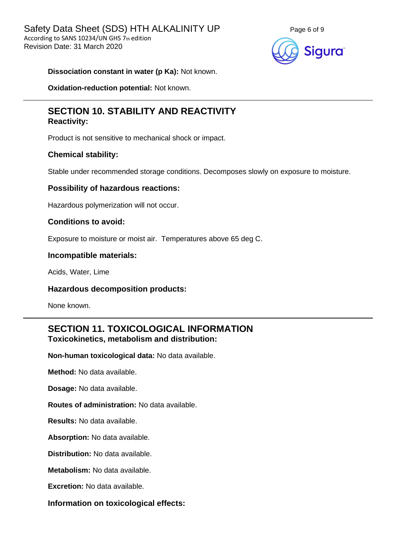

#### **Dissociation constant in water (p Ka):** Not known.

**Oxidation-reduction potential:** Not known.

## **SECTION 10. STABILITY AND REACTIVITY Reactivity:**

Product is not sensitive to mechanical shock or impact.

#### **Chemical stability:**

Stable under recommended storage conditions. Decomposes slowly on exposure to moisture.

#### **Possibility of hazardous reactions:**

Hazardous polymerization will not occur.

#### **Conditions to avoid:**

Exposure to moisture or moist air. Temperatures above 65 deg C.

#### **Incompatible materials:**

Acids, Water, Lime

#### **Hazardous decomposition products:**

None known.

# **SECTION 11. TOXICOLOGICAL INFORMATION Toxicokinetics, metabolism and distribution:**

**Non-human toxicological data:** No data available.

**Method:** No data available.

**Dosage:** No data available.

**Routes of administration:** No data available.

**Results:** No data available.

**Absorption:** No data available.

**Distribution:** No data available.

**Metabolism:** No data available.

**Excretion:** No data available.

**Information on toxicological effects:**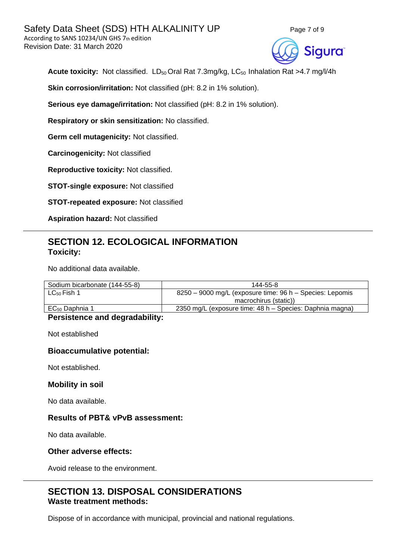



Acute toxicity: Not classified. LD<sub>50</sub> Oral Rat 7.3mg/kg, LC<sub>50</sub> Inhalation Rat >4.7 mg/l/4h

**Skin corrosion/irritation:** Not classified (pH: 8.2 in 1% solution).

**Serious eye damage/irritation:** Not classified (pH: 8.2 in 1% solution).

**Respiratory or skin sensitization:** No classified.

**Germ cell mutagenicity:** Not classified.

**Carcinogenicity:** Not classified

**Reproductive toxicity:** Not classified.

**STOT-single exposure:** Not classified

**STOT-repeated exposure:** Not classified

**Aspiration hazard:** Not classified

# **SECTION 12. ECOLOGICAL INFORMATION Toxicity:**

No additional data available.

| Sodium bicarbonate (144-55-8) | 144-55-8                                                 |  |
|-------------------------------|----------------------------------------------------------|--|
| $LC_{50}$ Fish 1              | 8250 – 9000 mg/L (exposure time: 96 h – Species: Lepomis |  |
|                               | macrochirus (static))                                    |  |
| $EC_{50}$ Daphnia 1           | 2350 mg/L (exposure time: 48 h – Species: Daphnia magna) |  |

### **Persistence and degradability:**

Not established

#### **Bioaccumulative potential:**

Not established.

#### **Mobility in soil**

No data available.

#### **Results of PBT& vPvB assessment:**

No data available.

#### **Other adverse effects:**

Avoid release to the environment.

## **SECTION 13. DISPOSAL CONSIDERATIONS Waste treatment methods:**

Dispose of in accordance with municipal, provincial and national regulations.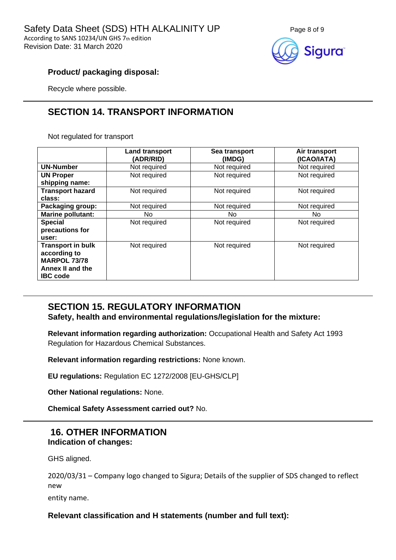

### **Product/ packaging disposal:**

Recycle where possible.

# **SECTION 14. TRANSPORT INFORMATION**

Not regulated for transport

|                          | <b>Land transport</b><br>(ADR/RID) | Sea transport<br>(IMDG) | Air transport<br>(ICAO/IATA) |
|--------------------------|------------------------------------|-------------------------|------------------------------|
| <b>UN-Number</b>         | Not required                       | Not required            | Not required                 |
| <b>UN Proper</b>         | Not required                       | Not required            | Not required                 |
| shipping name:           |                                    |                         |                              |
| <b>Transport hazard</b>  | Not required                       | Not required            | Not required                 |
| class:                   |                                    |                         |                              |
| Packaging group:         | Not required                       | Not required            | Not required                 |
| Marine pollutant:        | No.                                | No.                     | No.                          |
| <b>Special</b>           | Not required                       | Not required            | Not required                 |
| precautions for          |                                    |                         |                              |
| user:                    |                                    |                         |                              |
| <b>Transport in bulk</b> | Not required                       | Not required            | Not required                 |
| according to             |                                    |                         |                              |
| <b>MARPOL 73/78</b>      |                                    |                         |                              |
| Annex II and the         |                                    |                         |                              |
| <b>IBC</b> code          |                                    |                         |                              |

# **SECTION 15. REGULATORY INFORMATION**

**Safety, health and environmental regulations/legislation for the mixture:**

**Relevant information regarding authorization:** Occupational Health and Safety Act 1993 Regulation for Hazardous Chemical Substances.

**Relevant information regarding restrictions:** None known.

**EU regulations:** Regulation EC 1272/2008 [EU-GHS/CLP]

**Other National regulations:** None.

**Chemical Safety Assessment carried out?** No.

# **16. OTHER INFORMATION Indication of changes:**

GHS aligned.

2020/03/31 – Company logo changed to Sigura; Details of the supplier of SDS changed to reflect new

entity name.

## **Relevant classification and H statements (number and full text):**